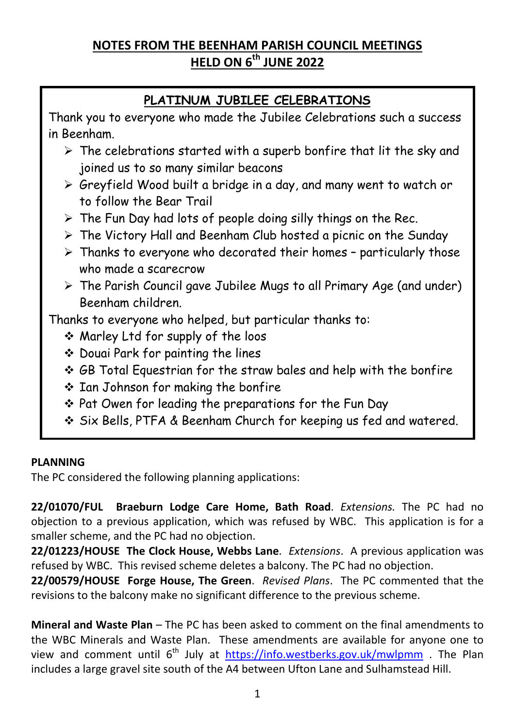# **NOTES FROM THE BEENHAM PARISH COUNCIL MEETINGS HELD ON 6th JUNE 2022**

# **PLATINUM JUBILEE CELEBRATIONS**

Thank you to everyone who made the Jubilee Celebrations such a success in Beenham.

- $\triangleright$  The celebrations started with a superb bonfire that lit the sky and joined us to so many similar beacons
- Greyfield Wood built a bridge in a day, and many went to watch or to follow the Bear Trail
- $\triangleright$  The Fun Day had lots of people doing silly things on the Rec.
- $\triangleright$  The Victory Hall and Beenham Club hosted a picnic on the Sunday
- $\triangleright$  Thanks to everyone who decorated their homes particularly those who made a scarecrow
- $\triangleright$  The Parish Council gave Jubilee Mugs to all Primary Age (and under) Beenham children.

Thanks to everyone who helped, but particular thanks to:

- Marley Ltd for supply of the loos
- ◆ Douai Park for painting the lines
- GB Total Equestrian for the straw bales and help with the bonfire
- Ian Johnson for making the bonfire
- Pat Owen for leading the preparations for the Fun Day
- Six Bells, PTFA & Beenham Church for keeping us fed and watered.

### **PLANNING**

The PC considered the following planning applications:

**22/01070/FUL Braeburn Lodge Care Home, Bath Road**. *Extensions.* The PC had no objection to a previous application, which was refused by WBC. This application is for a smaller scheme, and the PC had no objection.

**22/01223/HOUSE The Clock House, Webbs Lane**. *Extensions*. A previous application was refused by WBC. This revised scheme deletes a balcony. The PC had no objection.

**22/00579/HOUSE Forge House, The Green**. *Revised Plans*. The PC commented that the revisions to the balcony make no significant difference to the previous scheme.

**Mineral and Waste Plan** – The PC has been asked to comment on the final amendments to the WBC Minerals and Waste Plan. These amendments are available for anyone one to view and comment until 6<sup>th</sup> July at **https://info.westberks.gov.uk/mwlpmm** . The Plan includes a large gravel site south of the A4 between Ufton Lane and Sulhamstead Hill.